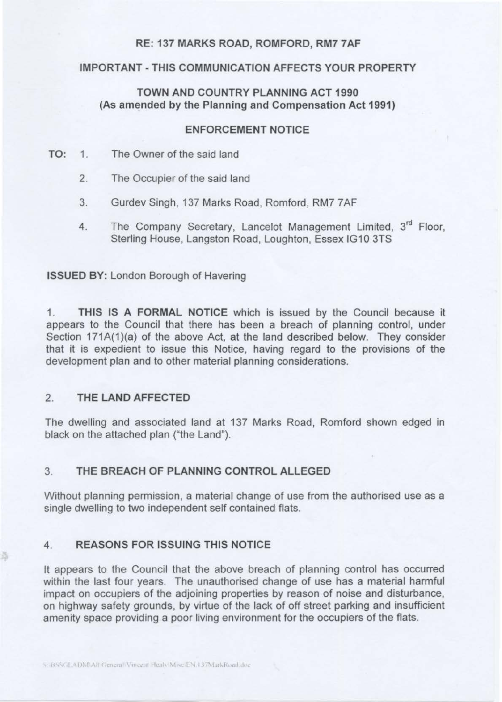# RE: 137 MARKS ROAD, ROMFORD, RM7 7AF

### IMPORTANT - THIS COMMUNICATION AFFECTS YOUR PROPERTY

# TOWN AND COUNTRY PLANNING ACT 1990 (As amended by the Planning and Compensation Act 1991)

#### ENFORCEMENT NOTICE

- TO: 1. The Owner of the said land
	- 2. The Occupier of the said land
	- 3. Gurdev Singh, 137 Marks Road, Romford, RM7 7AF
	- 4. The Company Secretary, Lancelot Management Limited, 3<sup>rd</sup> Floor, Sterling House, Langston Road, Loughton, Essex IG10 3TS

ISSUED BY: London Borough of Havering

1. THIS IS A FORMAL NOTICE which is issued by the Council because it appears to the Council that there has been a breach of planning control, under Section 171A(1)(a) of the above Act, at the land described below. They consider that it is expedient to issue this Notice, having regard to the provisions of the development plan and to other material planning considerations.

# 2. THE LAND AFFECTED

The dwelling and associated land at 137 Marks Road, Romford shown edged in black on the attached plan ("the Land").

### 3. THE BREACH OF PLANNING CONTROL ALLEGED

Without planning permission, a material change of use from the authorised use as a single dwelling to two independent self contained flats.

#### 4. REASONS FOR ISSUING THIS NOTICE

It appears to the Council that the above breach of planning control has occurred within the last four years. The unauthorised change of use has a material harmful impact on occupiers of the adjoining properties by reason of noise and disturbance, on highway safety grounds, by virtue of the lack of off street parking and insufficient amenity space providing a poor living environment for the occupiers of the flats.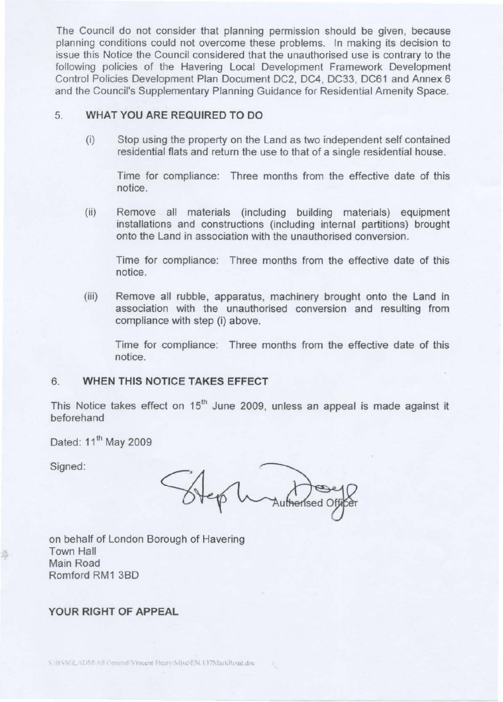The Council do not consider that planning permission should be given, because planning conditions could not overcome these problems. In making its decision to issue this Notice the Council considered that the unauthorised use is contrary to the following policies of the Havering Local Development Framework Development Control Policies Development Plan Document DC2, DC4, DC33, DC61 and Annex 6 and the Council's Supplementary Planning Guidance for Residential Amenity Space.

# 5. **WHAT YOU ARE REQUIRED TO DO**

(i) Stop using the property on the Land as two independent self contained residential flats and return the use to that of a single residential house.

Time for compliance: Three months from the effective date of this notice.

(ii) Remove all materials (including building materials) equipment installations and constructions (including internal partitions) brought onto the Land in association with the unauthorised conversion.

Time for compliance: Three months from the effective date of this notice.

(iii) Remove all rubble, apparatus, machinery brought onto the Land in association with the unauthorised conversion and resulting from compliance with step (i) above.

Time for compliance: Three months from the effective date of this notice.

# 6. **WHEN THIS NOTICE TAKES EFFECT**

This Notice takes effect on  $15<sup>th</sup>$  June 2009, unless an appeal is made against it beforehand

Dated: 11<sup>th</sup> May 2009

Signed:

on behalf of London Borough of Havering Town Hall Main Road Romford RM1 3BD

# **YOUR RIGHT OF APPEAL**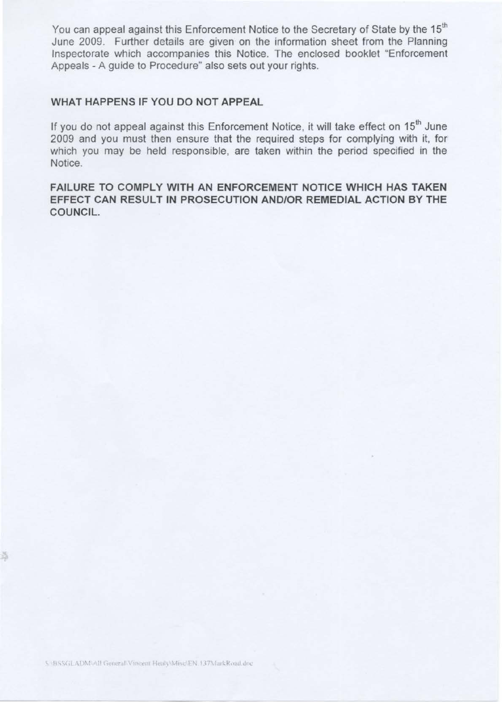You can appeal against this Enforcement Notice to the Secretary of State by the 15<sup>th</sup> June 2009. Further details are given on the information sheet from the Planning Inspectorate which accompanies this Notice. The enclosed booklet "Enforcement Appeals - A guide to Procedure" also sets out your rights.

# **WHAT HAPPENS IF YOU DO NOT APPEAL**

If you do not appeal against this Enforcement Notice, it will take effect on 15<sup>th</sup> June 2009 and you must then ensure that the required steps for complying with it, for which you may be held responsible, are taken within the period specified in the Notice.

**FAILURE TO COMPLY WITH AN ENFORCEMENT NOTICE WHICH HAS TAKEN EFFECT CAN RESULT IN PROSECUTION AND/OR REMEDIAL ACTION BY THE COUNCIL.**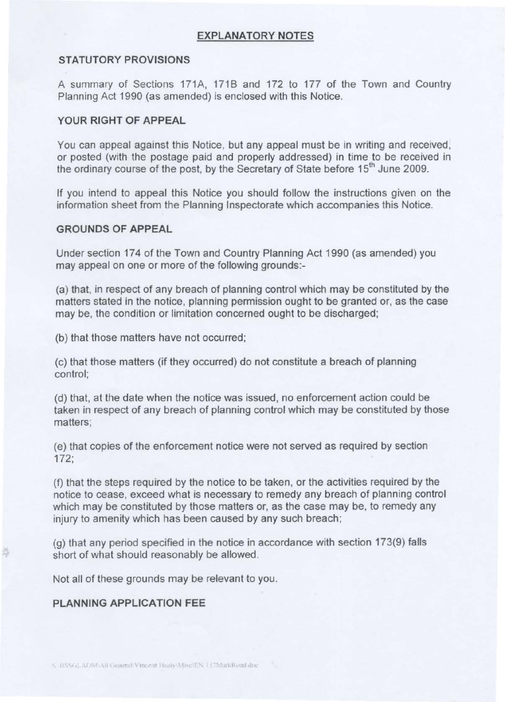# **EXPLANATORY NOTES**

# **STATUTORY PROVISIONS**

A summary of Sections 171A, 1718 and 172 to 177 of the Town and Country Planning Act 1990 (as amended) is enclosed with this Notice.

#### **YOUR RIGHT OF APPEAL**

You can appeal against this Notice, but any appeal must be in writing and received, or posted (with the postage paid and properly addressed) in time to be received in the ordinary course of the post, by the Secretary of State before 15<sup>th</sup> June 2009.

If you intend to appeal this Notice you should follow the instructions given on the information sheet from the Planning Inspectorate which accompanies this Notice.

#### **GROUNDS OF APPEAL**

Under section 174 of the Town and Country Planning Act 1990 (as amended) you may appeal on one or more of the following grounds:

(a) that, in respect of any breach of planning control which may be constituted by the matters stated in the notice, planning permission ought to be granted or, as the case may be, the condition or limitation concerned ought to be discharged;

(b) that those matters have not occurred;

(c) that those matters (if they occurred) do not constitute a breach of planning control;

(d) that, at the date when the notice was issued, no enforcement action could be taken in respect of any breach of planning control which may be constituted by those matters;

(e) that copies of the enforcement notice were not served as required by section 172;

(f) that the steps required by the notice to be taken , or the activities required by the notice to cease, exceed what is necessary to remedy any breach of planning control which may be constituted by those matters or, as the case may be, to remedy any injury to amenity which has been caused by any such breach;

(g) that any period specified in the notice in accordance with section 173(9) falls short of what should reasonably be allowed.

Not all of these grounds may be relevant to you.

### **PLANNING APPLICATION FEE**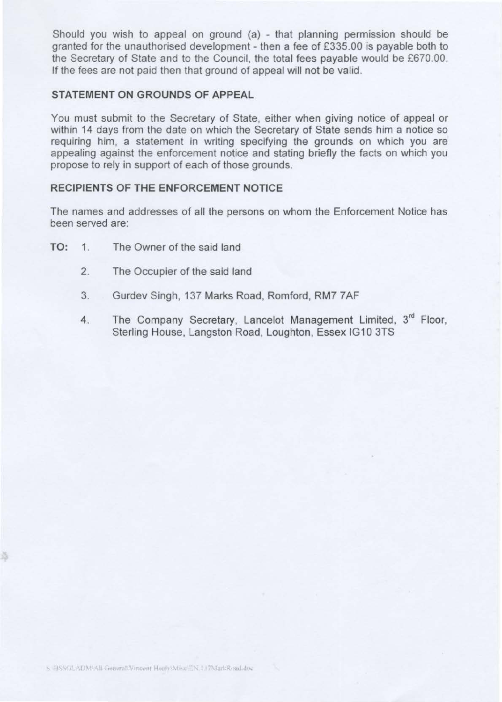Should you wish to appeal on ground  $(a)$  - that planning permission should be granted for the unauthorised development - then a fee of £335.00 is payable both to the Secretary of State and to the Council, the total fees payable would be £670.00. If the fees are not paid then that ground of appeal will not be valid.

# **STATEMENT ON GROUNDS OF APPEAL**

You must submit to the Secretary of State, either when giving notice of appeal or within 14 days from the date on which the Secretary of State sends him a notice so requiring him, a statement in writing specifying the grounds on which you are appealing against the enforcement notice and stating briefly the facts on which you propose to rely in support of each of those grounds.

### **RECIPIENTS OF THE ENFORCEMENT NOTICE**

The names and addresses of all the persons on whom the Enforcement Notice has been served are:

- **TO: 1.** The Owner of the said land
	- 2. The Occupier of the said land
	- 3. Gurdev Singh, 137 Marks Road, Romford, RM7 7AF
	- 4. The Company Secretary, Lancelot Management Limited, 3<sup>rd</sup> Floor, Sterling House, Langston Road, Loughton, Essex IG10 3TS